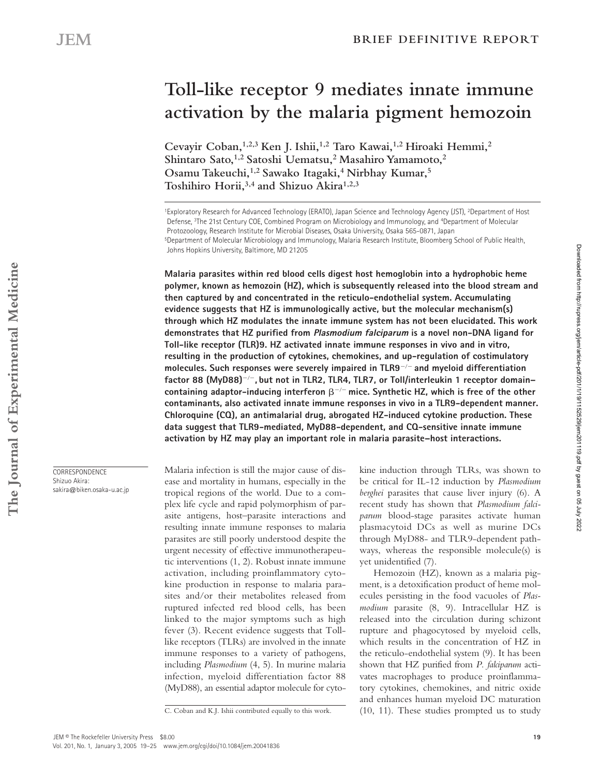# **Toll-like receptor 9 mediates innate immune activation by the malaria pigment hemozoin**

**Cevayir Coban,1,2,3 Ken J. Ishii,1,2 Taro Kawai,1,2 Hiroaki Hemmi,2 Shintaro Sato,1,2 Satoshi Uematsu,2 Masahiro Yamamoto,2 Osamu Takeuchi,1,2 Sawako Itagaki,4 Nirbhay Kumar,5 Toshihiro Horii,3,4 and Shizuo Akira1,2,3**

1Exploratory Research for Advanced Technology (ERATO), Japan Science and Technology Agency (JST), 2Department of Host Defense, 3The 21st Century COE, Combined Program on Microbiology and Immunology, and 4Department of Molecular Protozoology, Research Institute for Microbial Diseases, Osaka University, Osaka 565-0871, Japan 5Department of Molecular Microbiology and Immunology, Malaria Research Institute, Bloomberg School of Public Health, Johns Hopkins University, Baltimore, MD 21205

**Malaria parasites within red blood cells digest host hemoglobin into a hydrophobic heme polymer, known as hemozoin (HZ), which is subsequently released into the blood stream and then captured by and concentrated in the reticulo-endothelial system. Accumulating evidence suggests that HZ is immunologically active, but the molecular mechanism(s) through which HZ modulates the innate immune system has not been elucidated. This work demonstrates that HZ purified from Plasmodium falciparum is a novel non-DNA ligand for Toll-like receptor (TLR)9. HZ activated innate immune responses in vivo and in vitro, resulting in the production of cytokines, chemokines, and up-regulation of costimulatory molecules. Such responses were severely impaired in TLR9**- **and myeloid differentiation factor 88 (MyD88)**-**, but not in TLR2, TLR4, TLR7, or Toll/interleukin 1 receptor domain–** containing adaptor-inducing interferon  $\beta^{-/-}$  mice. Synthetic HZ, which is free of the other **contaminants, also activated innate immune responses in vivo in a TLR9-dependent manner. Chloroquine (CQ), an antimalarial drug, abrogated HZ-induced cytokine production. These data suggest that TLR9-mediated, MyD88-dependent, and CQ-sensitive innate immune activation by HZ may play an important role in malaria parasite–host interactions.**

Malaria infection is still the major cause of disease and mortality in humans, especially in the tropical regions of the world. Due to a complex life cycle and rapid polymorphism of parasite antigens, host–parasite interactions and resulting innate immune responses to malaria parasites are still poorly understood despite the urgent necessity of effective immunotherapeutic interventions (1, 2). Robust innate immune activation, including proinflammatory cytokine production in response to malaria parasites and/or their metabolites released from ruptured infected red blood cells, has been linked to the major symptoms such as high fever (3). Recent evidence suggests that Tolllike receptors (TLRs) are involved in the innate immune responses to a variety of pathogens, including *Plasmodium* (4, 5). In murine malaria infection, myeloid differentiation factor 88 (MyD88), an essential adaptor molecule for cytokine induction through TLRs, was shown to be critical for IL-12 induction by *Plasmodium berghei* parasites that cause liver injury (6). A recent study has shown that *Plasmodium falciparum* blood-stage parasites activate human plasmacytoid DCs as well as murine DCs through MyD88- and TLR9-dependent pathways, whereas the responsible molecule(s) is yet unidentified (7).

Hemozoin (HZ), known as a malaria pigment, is a detoxification product of heme molecules persisting in the food vacuoles of *Plasmodium* parasite (8, 9). Intracellular HZ is released into the circulation during schizont rupture and phagocytosed by myeloid cells, which results in the concentration of HZ in the reticulo-endothelial system (9). It has been shown that HZ purified from *P. falciparum* activates macrophages to produce proinflammatory cytokines, chemokines, and nitric oxide and enhances human myeloid DC maturation C. Coban and K.J. Ishii contributed equally to this work. (10, 11). These studies prompted us to study

**CORRESPONDENCE** Shizuo Akira:

sakira@biken.osaka-u.ac.jp

Downloaded from http://rupress.org/jem/article-pdf/201/1/19/1152529/jem201119.pdf by guest on 05 July 2022

Downloaded from http://rupress.org/jem/article-pdf/201/1/19/1162629/jem201119.pdf by guest on 05 July 2022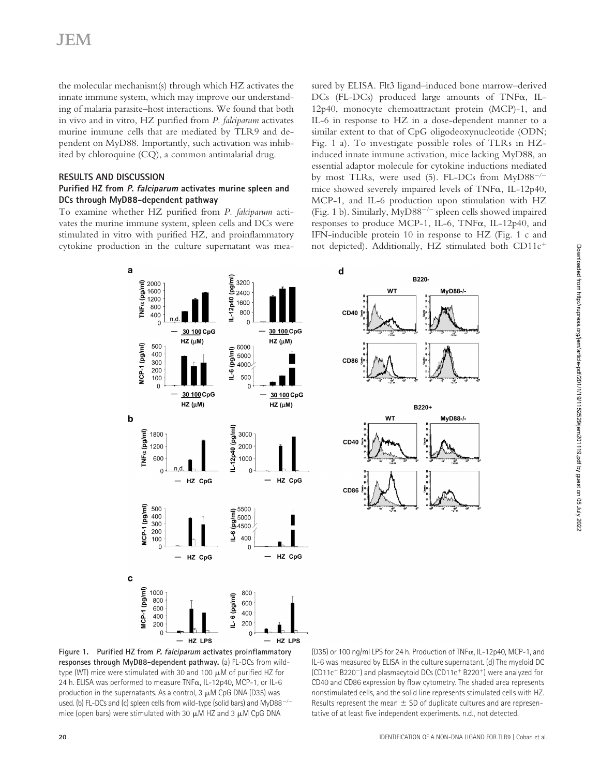the molecular mechanism(s) through which HZ activates the innate immune system, which may improve our understanding of malaria parasite–host interactions. We found that both in vivo and in vitro, HZ purified from *P. falciparum* activates murine immune cells that are mediated by TLR9 and dependent on MyD88. Importantly, such activation was inhibited by chloroquine (CQ), a common antimalarial drug.

# **RESULTS AND DISCUSSION**

#### **Purified HZ from P. falciparum activates murine spleen and DCs through MyD88-dependent pathway**

To examine whether HZ purified from *P. falciparum* activates the murine immune system, spleen cells and DCs were stimulated in vitro with purified HZ, and proinflammatory cytokine production in the culture supernatant was measured by ELISA. Flt3 ligand–induced bone marrow–derived  $DCs$  (FL- $DCs$ ) produced large amounts of TNF $\alpha$ , IL-12p40, monocyte chemoattractant protein (MCP)-1, and IL-6 in response to HZ in a dose-dependent manner to a similar extent to that of CpG oligodeoxynucleotide (ODN; Fig. 1 a). To investigate possible roles of TLRs in HZinduced innate immune activation, mice lacking MyD88, an essential adaptor molecule for cytokine inductions mediated by most TLRs, were used (5). FL-DCs from MyD88<sup>-/-</sup> mice showed severely impaired levels of TNF $\alpha$ , IL-12p40, MCP-1, and IL-6 production upon stimulation with HZ (Fig. 1 b). Similarly, MyD88<sup>-/-</sup> spleen cells showed impaired responses to produce MCP-1, IL-6, TNF $\alpha$ , IL-12p40, and IFN-inducible protein 10 in response to HZ (Fig. 1 c and not depicted). Additionally, HZ stimulated both CD11c

MyD88-/-

MyD88-/-



**Figure 1. Purified HZ from P. falciparum activates proinflammatory responses through MyD88-dependent pathway.** (a) FL-DCs from wildtype (WT) mice were stimulated with 30 and 100  $\mu$ M of purified HZ for 24 h. ELISA was performed to measure TNF $\alpha$ , IL-12p40, MCP-1, or IL-6 production in the supernatants. As a control,  $3 \mu$ M CpG DNA (D35) was used. (b) FL-DCs and (c) spleen cells from wild-type (solid bars) and MyD88- $$ mice (open bars) were stimulated with 30  $\mu$ M HZ and 3  $\mu$ M CpG DNA

(D35) or 100 ng/ml LPS for 24 h. Production of TNF $\alpha$ , IL-12p40, MCP-1, and IL-6 was measured by ELISA in the culture supernatant. (d) The myeloid DC  $(CD11c + B220)$  and plasmacytoid DCs  $(CD11c + B220)$  were analyzed for CD40 and CD86 expression by flow cytometry. The shaded area represents nonstimulated cells, and the solid line represents stimulated cells with HZ. Results represent the mean  $\pm$  SD of duplicate cultures and are representative of at least five independent experiments. n.d., not detected.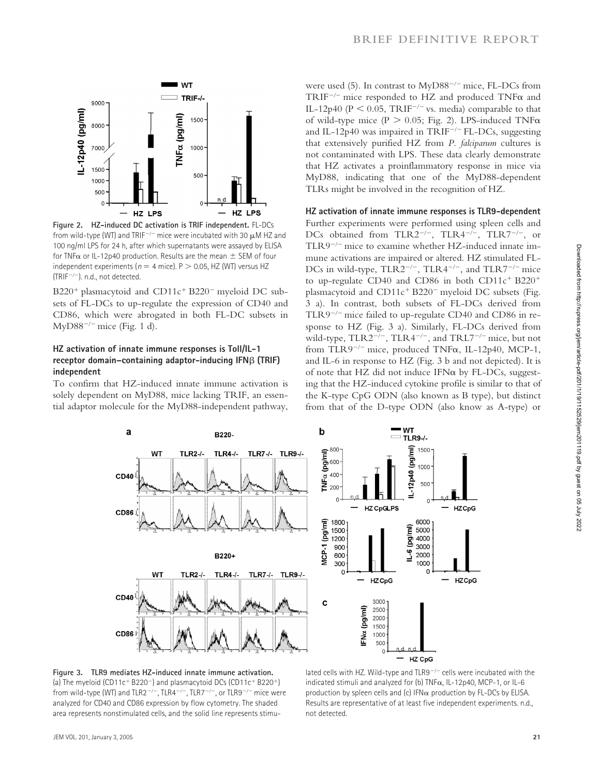

**Figure 2. HZ-induced DC activation is TRIF independent.** FL-DCs from wild-type (WT) and TRIF<sup>-/-</sup> mice were incubated with 30  $\mu$ M HZ and 100 ng/ml LPS for 24 h, after which supernatants were assayed by ELISA for TNF $\alpha$  or IL-12p40 production. Results are the mean  $\pm$  SEM of four independent experiments ( $n = 4$  mice).  $P > 0.05$ , HZ (WT) versus HZ (TRIF-). n.d., not detected.

B220<sup>+</sup> plasmacytoid and CD11c<sup>+</sup> B220<sup>-</sup> myeloid DC subsets of FL-DCs to up-regulate the expression of CD40 and CD86, which were abrogated in both FL-DC subsets in  $MyD88^{-/-}$  mice (Fig. 1 d).

### **HZ activation of innate immune responses is Toll/IL-1 receptor domain-containing adaptor-inducing IFN** $\beta$  **(TRIF) independent**

To confirm that HZ-induced innate immune activation is solely dependent on MyD88, mice lacking TRIF, an essential adaptor molecule for the MyD88-independent pathway,

were used (5). In contrast to MyD88- mice, FL-DCs from  $TRIF^{-/-}$  mice responded to HZ and produced  $TNF\alpha$  and IL-12p40 ( $P < 0.05$ , TRIF<sup>-/-</sup> vs. media) comparable to that of wild-type mice (P  $> 0.05$ ; Fig. 2). LPS-induced TNF $\alpha$ and IL-12p40 was impaired in TRIF- FL-DCs, suggesting that extensively purified HZ from *P. falciparum* cultures is not contaminated with LPS. These data clearly demonstrate that HZ activates a proinflammatory response in mice via MyD88, indicating that one of the MyD88-dependent TLRs might be involved in the recognition of HZ.

#### **HZ activation of innate immune responses is TLR9-dependent**

Further experiments were performed using spleen cells and DCs obtained from TLR2<sup>-/-</sup>, TLR4<sup>-/-</sup>, TLR7<sup>-/-</sup>, or TLR9- mice to examine whether HZ-induced innate immune activations are impaired or altered. HZ stimulated FL-DCs in wild-type,  $TLR2^{-/-}$ ,  $TLR4^{-/-}$ , and  $TLR7^{-/-}$  mice to up-regulate CD40 and CD86 in both CD11 $c^+$  B220<sup>+</sup> plasmacytoid and  $CD11c^{+}B220^{-}$  myeloid DC subsets (Fig. 3 a). In contrast, both subsets of FL-DCs derived from TLR9- mice failed to up-regulate CD40 and CD86 in response to HZ (Fig. 3 a). Similarly, FL-DCs derived from wild-type,  $TLR2^{-/-}$ ,  $TLR4^{-/-}$ , and  $TRL7^{-/-}$  mice, but not from TLR9<sup>-/-</sup> mice, produced TNF $\alpha$ , IL-12p40, MCP-1, and IL-6 in response to HZ (Fig. 3 b and not depicted). It is of note that HZ did not induce IFN $\alpha$  by FL-DCs, suggesting that the HZ-induced cytokine profile is similar to that of the K-type CpG ODN (also known as B type), but distinct from that of the D-type ODN (also know as A-type) or



**Figure 3. TLR9 mediates HZ-induced innate immune activation.**  (a) The myeloid (CD11c<sup>+</sup> B220<sup>-</sup>) and plasmacytoid DCs (CD11c<sup>+</sup> B220<sup>+</sup>) from wild-type (WT) and TLR2<sup>-/-</sup>, TLR4<sup>-/-</sup>, TLR7<sup>-/-</sup>, or TLR9<sup>-/-</sup> mice were analyzed for CD40 and CD86 expression by flow cytometry. The shaded area represents nonstimulated cells, and the solid line represents stimu-

lated cells with HZ. Wild-type and TLR9<sup>-/-</sup> cells were incubated with the indicated stimuli and analyzed for (b)  $TNF\alpha$ , IL-12p40, MCP-1, or IL-6 production by spleen cells and (c) IFN $\alpha$  production by FL-DCs by ELISA. Results are representative of at least five independent experiments. n.d., not detected.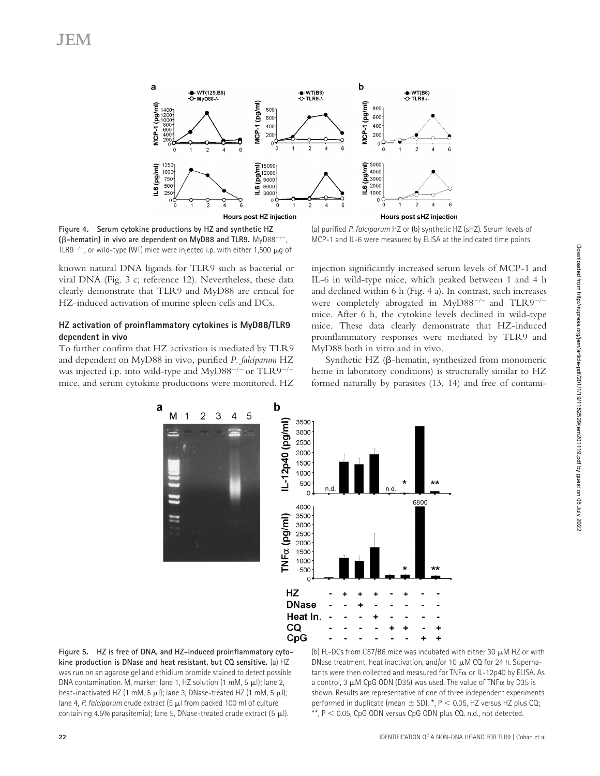

**Figure 4. Serum cytokine productions by HZ and synthetic HZ (-hematin) in vivo are dependent on MyD88 and TLR9.** MyD88-, TLR9 $^{-/-}$ , or wild-type (WT) mice were injected i.p. with either 1,500  $\mu$ g of

known natural DNA ligands for TLR9 such as bacterial or viral DNA (Fig. 3 c; reference 12). Nevertheless, these data clearly demonstrate that TLR9 and MyD88 are critical for HZ-induced activation of murine spleen cells and DCs.

# **HZ activation of proinflammatory cytokines is MyD88/TLR9 dependent in vivo**

To further confirm that HZ activation is mediated by TLR9 and dependent on MyD88 in vivo, purified *P. falciparum* HZ was injected i.p. into wild-type and MyD88<sup>-/-</sup> or TLR9<sup>-/-</sup> mice, and serum cytokine productions were monitored. HZ

(a) purified *P. falciparum* HZ or (b) synthetic HZ (sHZ). Serum levels of MCP-1 and IL-6 were measured by ELISA at the indicated time points.

injection significantly increased serum levels of MCP-1 and IL-6 in wild-type mice, which peaked between 1 and 4 h and declined within 6 h (Fig. 4 a). In contrast, such increases were completely abrogated in MyD88<sup>-/-</sup> and TLR9<sup>-/-</sup> mice. After 6 h, the cytokine levels declined in wild-type mice. These data clearly demonstrate that HZ-induced proinflammatory responses were mediated by TLR9 and MyD88 both in vitro and in vivo.

Synthetic HZ ( $\beta$ -hematin, synthesized from monomeric heme in laboratory conditions) is structurally similar to HZ formed naturally by parasites (13, 14) and free of contami-



**Figure 5. HZ is free of DNA, and HZ-induced proinflammatory cytokine production is DNase and heat resistant, but CQ sensitive.** (a) HZ was run on an agarose gel and ethidium bromide stained to detect possible DNA contamination. M, marker; lane 1, HZ solution (1 mM, 5  $\mu$ J); lane 2, heat-inactivated HZ (1 mM, 5  $\mu$ I); lane 3, DNase-treated HZ (1 mM, 5  $\mu$ I); lane 4, *P. falciparum* crude extract (5  $\mu$ l from packed 100 ml of culture containing 4.5% parasitemia); lane 5, DNase-treated crude extract  $(5 \mu)$ .

(b) FL-DCs from C57/B6 mice was incubated with either 30  $\mu$ M HZ or with DNase treatment, heat inactivation, and/or 10  $\mu$ M CQ for 24 h. Supernatants were then collected and measured for  $TNF\alpha$  or IL-12p40 by ELISA. As a control, 3  $\mu$ M CpG ODN (D35) was used. The value of TNF $\alpha$  by D35 is shown. Results are representative of one of three independent experiments performed in duplicate (mean  $\pm$  SD). \*, P < 0.05, HZ versus HZ plus CQ;  $*$ ,  $P < 0.05$ , CpG ODN versus CpG ODN plus CQ. n.d., not detected.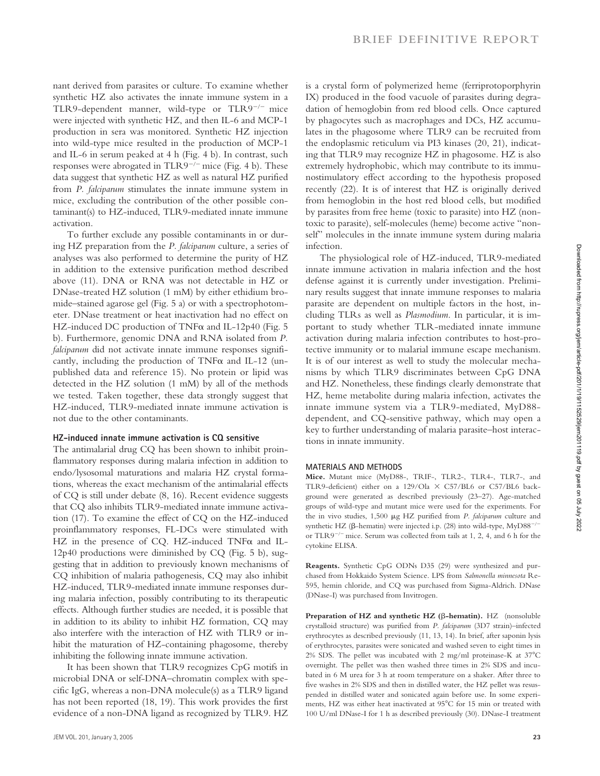nant derived from parasites or culture. To examine whether synthetic HZ also activates the innate immune system in a TLR9-dependent manner, wild-type or TLR9- mice were injected with synthetic HZ, and then IL-6 and MCP-1 production in sera was monitored. Synthetic HZ injection into wild-type mice resulted in the production of MCP-1 and IL-6 in serum peaked at 4 h (Fig. 4 b). In contrast, such responses were abrogated in TLR9- mice (Fig. 4 b). These data suggest that synthetic HZ as well as natural HZ purified from *P. falciparum* stimulates the innate immune system in mice, excluding the contribution of the other possible contaminant(s) to HZ-induced, TLR9-mediated innate immune activation.

To further exclude any possible contaminants in or during HZ preparation from the *P. falciparum* culture, a series of analyses was also performed to determine the purity of HZ in addition to the extensive purification method described above (11). DNA or RNA was not detectable in HZ or DNase-treated HZ solution (1 mM) by either ethidium bromide–stained agarose gel (Fig. 5 a) or with a spectrophotometer. DNase treatment or heat inactivation had no effect on HZ-induced DC production of TNF $\alpha$  and IL-12p40 (Fig. 5 b). Furthermore, genomic DNA and RNA isolated from *P. falciparum* did not activate innate immune responses significantly, including the production of  $TNF\alpha$  and IL-12 (unpublished data and reference 15). No protein or lipid was detected in the HZ solution (1 mM) by all of the methods we tested. Taken together, these data strongly suggest that HZ-induced, TLR9-mediated innate immune activation is not due to the other contaminants.

# **HZ-induced innate immune activation is CQ sensitive**

The antimalarial drug CQ has been shown to inhibit proinflammatory responses during malaria infection in addition to endo/lysosomal maturations and malaria HZ crystal formations, whereas the exact mechanism of the antimalarial effects of CQ is still under debate (8, 16). Recent evidence suggests that CQ also inhibits TLR9-mediated innate immune activation (17). To examine the effect of CQ on the HZ-induced proinflammatory responses, FL-DCs were stimulated with HZ in the presence of CQ. HZ-induced  $TNF\alpha$  and IL-12p40 productions were diminished by CQ (Fig. 5 b), suggesting that in addition to previously known mechanisms of CQ inhibition of malaria pathogenesis, CQ may also inhibit HZ-induced, TLR9-mediated innate immune responses during malaria infection, possibly contributing to its therapeutic effects. Although further studies are needed, it is possible that in addition to its ability to inhibit HZ formation, CQ may also interfere with the interaction of HZ with TLR9 or inhibit the maturation of HZ-containing phagosome, thereby inhibiting the following innate immune activation.

It has been shown that TLR9 recognizes CpG motifs in microbial DNA or self-DNA–chromatin complex with specific IgG, whereas a non-DNA molecule(s) as a TLR9 ligand has not been reported (18, 19). This work provides the first evidence of a non-DNA ligand as recognized by TLR9. HZ is a crystal form of polymerized heme (ferriprotoporphyrin IX) produced in the food vacuole of parasites during degradation of hemoglobin from red blood cells. Once captured by phagocytes such as macrophages and DCs, HZ accumulates in the phagosome where TLR9 can be recruited from the endoplasmic reticulum via PI3 kinases (20, 21), indicating that TLR9 may recognize HZ in phagosome. HZ is also extremely hydrophobic, which may contribute to its immunostimulatory effect according to the hypothesis proposed recently (22). It is of interest that HZ is originally derived from hemoglobin in the host red blood cells, but modified by parasites from free heme (toxic to parasite) into HZ (nontoxic to parasite), self-molecules (heme) become active "nonself" molecules in the innate immune system during malaria infection.

The physiological role of HZ-induced, TLR9-mediated innate immune activation in malaria infection and the host defense against it is currently under investigation. Preliminary results suggest that innate immune responses to malaria parasite are dependent on multiple factors in the host, including TLRs as well as *Plasmodium*. In particular, it is important to study whether TLR-mediated innate immune activation during malaria infection contributes to host-protective immunity or to malarial immune escape mechanism. It is of our interest as well to study the molecular mechanisms by which TLR9 discriminates between CpG DNA and HZ. Nonetheless, these findings clearly demonstrate that HZ, heme metabolite during malaria infection, activates the innate immune system via a TLR9-mediated, MyD88 dependent, and CQ-sensitive pathway, which may open a key to further understanding of malaria parasite–host interactions in innate immunity.

#### **MATERIALS AND METHODS**

**Mice.** Mutant mice (MyD88-, TRIF-, TLR2-, TLR4-, TLR7-, and TLR9-deficient) either on a 129/Ola  $\times$  C57/BL6 or C57/BL6 background were generated as described previously (23–27). Age-matched groups of wild-type and mutant mice were used for the experiments. For the in vivo studies, 1,500 µg HZ purified from *P. falciparum* culture and synthetic HZ ( $\beta$ -hematin) were injected i.p. (28) into wild-type, MyD88<sup>-/-</sup> or TLR9- mice. Serum was collected from tails at 1, 2, 4, and 6 h for the cytokine ELISA.

**Reagents.** Synthetic CpG ODNs D35 (29) were synthesized and purchased from Hokkaido System Science. LPS from *Salmonella minnesota* Re-595, hemin chloride, and CQ was purchased from Sigma-Aldrich. DNase (DNase-I) was purchased from Invitrogen.

Preparation of HZ and synthetic HZ ( $\beta$ -hematin). HZ (nonsoluble crystalloid structure) was purified from *P. falciparum* (3D7 strain)–infected erythrocytes as described previously (11, 13, 14). In brief, after saponin lysis of erythrocytes, parasites were sonicated and washed seven to eight times in 2% SDS. The pellet was incubated with 2 mg/ml proteinase-K at  $37^{\circ}$ C overnight. The pellet was then washed three times in 2% SDS and incubated in 6 M urea for 3 h at room temperature on a shaker. After three to five washes in 2% SDS and then in distilled water, the HZ pellet was resuspended in distilled water and sonicated again before use. In some experiments, HZ was either heat inactivated at 95°C for 15 min or treated with 100 U/ml DNase-I for 1 h as described previously (30). DNase-I treatment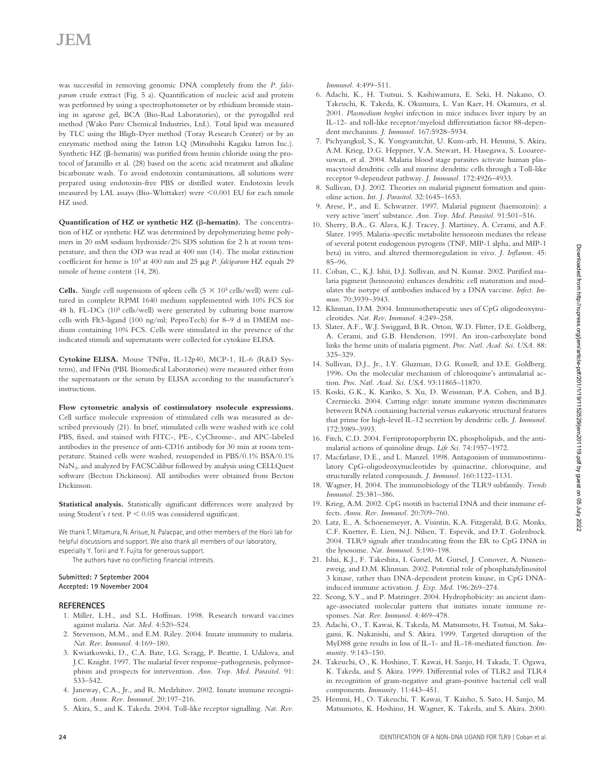was successful in removing genomic DNA completely from the *P. falciparum* crude extract (Fig. 5 a). Quantification of nucleic acid and protein was performed by using a spectrophotometer or by ethidium bromide staining in agarose gel, BCA (Bio-Rad Laboratories), or the pyrogallol red method (Wako Pure Chemical Industries, Ltd.). Total lipid was measured by TLC using the Bligh-Dyer method (Toray Research Center) or by an enzymatic method using the Iatron LQ (Mitsubishi Kagaku Iatron Inc.). Synthetic HZ ( $\beta$ -hematin) was purified from hemin chloride using the protocol of Jaramillo et al. (28) based on the acetic acid treatment and alkaline bicarbonate wash. To avoid endotoxin contaminations, all solutions were prepared using endotoxin-free PBS or distilled water. Endotoxin levels measured by LAL assays (Bio-Whittaker) were  $\leq 0.001$  EU for each nmole HZ used.

Quantification of  $HZ$  or synthetic  $HZ$  ( $\beta$ -hematin). The concentration of HZ or synthetic HZ was determined by depolymerizing heme polymers in 20 mM sodium hydroxide/2% SDS solution for 2 h at room temperature, and then the OD was read at 400 nm (14). The molar extinction coefficient for heme is 10<sup>5</sup> at 400 nm and 25  $\mu$ g *P. falciparum* HZ equals 29 nmole of heme content (14, 28).

**Cells.** Single cell suspensions of spleen cells (5  $\times$  10<sup>5</sup> cells/well) were cultured in complete RPMI 1640 medium supplemented with 10% FCS for 48 h. FL-DCs  $(10^5 \text{ cells/well})$  were generated by culturing bone marrow cells with Flt3-ligand (100 ng/ml; PeproTech) for 8–9 d in DMEM medium containing 10% FCS. Cells were stimulated in the presence of the indicated stimuli and supernatants were collected for cytokine ELISA.

Cytokine ELISA. Mouse TNFα, IL-12p40, MCP-1, IL-6 (R&D Systems), and IFN $\alpha$  (PBL Biomedical Laboratories) were measured either from the supernatants or the serum by ELISA according to the manufacturer's instructions.

**Flow cytometric analysis of costimulatory molecule expressions.** Cell surface molecule expression of stimulated cells was measured as described previously (21). In brief, stimulated cells were washed with ice cold PBS, fixed, and stained with FITC-, PE-, CyChrome-, and APC-labeled antibodies in the presence of anti-CD16 antibody for 30 min at room temperature. Stained cells were washed, resuspended in PBS/0.1% BSA/0.1% NaN3, and analyzed by FACSCalibur followed by analysis using CELLQuest software (Becton Dickinson). All antibodies were obtained from Becton Dickinson.

**Statistical analysis.** Statistically significant differences were analyzed by using Student's  $t$  test.  $P < 0.05$  was considered significant.

We thank T. Mitamura, N. Arisue, N. Palacpac, and other members of the Horii lab for helpful discussions and support. We also thank all members of our laboratory, especially Y. Torii and Y. Fujita for generous support.

The authors have no conflicting financial interests.

#### **Submitted: 7 September 2004 Accepted: 19 November 2004**

#### **REFERENCES**

- 1. Miller, L.H., and S.L. Hoffman. 1998. Research toward vaccines against malaria. *Nat. Med.* 4:520–524.
- 2. Stevenson, M.M., and E.M. Riley. 2004. Innate immunity to malaria. *Nat. Rev. Immunol.* 4:169–180.
- 3. Kwiatkowski, D., C.A. Bate, I.G. Scragg, P. Beattie, I. Udalova, and J.C. Knight. 1997. The malarial fever response–pathogenesis, polymorphism and prospects for intervention. *Ann. Trop. Med. Parasitol.* 91: 533–542.
- 4. Janeway, C.A., Jr., and R. Medzhitov. 2002. Innate immune recognition. *Annu. Rev. Immunol.* 20:197–216.
- 5. Akira, S., and K. Takeda. 2004. Toll-like receptor signalling. *Nat. Rev.*

*Immunol.* 4:499–511.

- 6. Adachi, K., H. Tsutsui, S. Kashiwamura, E. Seki, H. Nakano, O. Takeuchi, K. Takeda, K. Okumura, L. Van Kaer, H. Okamura, et al. 2001. *Plasmodium berghei* infection in mice induces liver injury by an IL-12- and toll-like receptor/myeloid differentiation factor 88-dependent mechanism. *J. Immunol.* 167:5928–5934.
- 7. Pichyangkul, S., K. Yongvanitchit, U. Kum-arb, H. Hemmi, S. Akira, A.M. Krieg, D.G. Heppner, V.A. Stewart, H. Hasegawa, S. Looareesuwan, et al. 2004. Malaria blood stage parasites activate human plasmacytoid dendritic cells and murine dendritic cells through a Toll-like receptor 9-dependent pathway. *J. Immunol.* 172:4926–4933.
- 8. Sullivan, D.J. 2002. Theories on malarial pigment formation and quinoline action. *Int. J. Parasitol.* 32:1645–1653.
- 9. Arese, P., and E. Schwarzer. 1997. Malarial pigment (haemozoin): a very active 'inert' substance. *Ann. Trop. Med. Parasitol.* 91:501–516.
- 10. Sherry, B.A., G. Alava, K.J. Tracey, J. Martiney, A. Cerami, and A.F. Slater. 1995. Malaria-specific metabolite hemozoin mediates the release of several potent endogenous pyrogens (TNF, MIP-1 alpha, and MIP-1 beta) in vitro, and altered thermoregulation in vivo. *J. Inflamm.* 45: 85–96.
- 11. Coban, C., K.J. Ishii, D.J. Sullivan, and N. Kumar. 2002. Purified malaria pigment (hemozoin) enhances dendritic cell maturation and modulates the isotype of antibodies induced by a DNA vaccine. *Infect. Immun.* 70:3939–3943.
- 12. Klinman, D.M. 2004. Immunotherapeutic uses of CpG oligodeoxynucleotides. *Nat. Rev. Immunol.* 4:249–258.
- 13. Slater, A.F., W.J. Swiggard, B.R. Orton, W.D. Flitter, D.E. Goldberg, A. Cerami, and G.B. Henderson. 1991. An iron-carboxylate bond links the heme units of malaria pigment. *Proc. Natl. Acad. Sci. USA.* 88: 325–329.
- 14. Sullivan, D.J., Jr., I.Y. Gluzman, D.G. Russell, and D.E. Goldberg. 1996. On the molecular mechanism of chloroquine's antimalarial action. *Proc. Natl. Acad. Sci. USA.* 93:11865–11870.
- 15. Koski, G.K., K. Kariko, S. Xu, D. Weissman, P.A. Cohen, and B.J. Czerniecki. 2004. Cutting edge: innate immune system discriminates between RNA containing bacterial versus eukaryotic structural features that prime for high-level IL-12 secretion by dendritic cells. *J. Immunol.* 172:3989–3993.
- 16. Fitch, C.D. 2004. Ferriprotoporphyrin IX, phospholipids, and the antimalarial actions of quinoline drugs. *Life Sci.* 74:1957–1972.
- 17. Macfarlane, D.E., and L. Manzel. 1998. Antagonism of immunostimulatory CpG-oligodeoxynucleotides by quinacrine, chloroquine, and structurally related compounds. *J. Immunol.* 160:1122–1131.
- 18. Wagner, H. 2004. The immunobiology of the TLR9 subfamily. *Trends Immunol.* 25:381–386.
- 19. Krieg, A.M. 2002. CpG motifs in bacterial DNA and their immune effects. *Annu. Rev. Immunol.* 20:709–760.
- 20. Latz, E., A. Schoenemeyer, A. Visintin, K.A. Fitzgerald, B.G. Monks, C.F. Knetter, E. Lien, N.J. Nilsen, T. Espevik, and D.T. Golenbock. 2004. TLR9 signals after translocating from the ER to CpG DNA in the lysosome. *Nat. Immunol.* 5:190–198.
- 21. Ishii, K.J., F. Takeshita, I. Gursel, M. Gursel, J. Conover, A. Nussenzweig, and D.M. Klinman. 2002. Potential role of phosphatidylinositol 3 kinase, rather than DNA-dependent protein kinase, in CpG DNAinduced immune activation. *J. Exp. Med.* 196:269–274.
- 22. Seong, S.Y., and P. Matzinger. 2004. Hydrophobicity: an ancient damage-associated molecular pattern that initiates innate immune responses. *Nat. Rev. Immunol.* 4:469–478.
- 23. Adachi, O., T. Kawai, K. Takeda, M. Matsumoto, H. Tsutsui, M. Sakagami, K. Nakanishi, and S. Akira. 1999. Targeted disruption of the MyD88 gene results in loss of IL-1- and IL-18-mediated function. *Immunity.* 9:143–150.
- 24. Takeuchi, O., K. Hoshino, T. Kawai, H. Sanjo, H. Takada, T. Ogawa, K. Takeda, and S. Akira. 1999. Differential roles of TLR2 and TLR4 in recognition of gram-negative and gram-positive bacterial cell wall components. *Immunity.* 11:443–451.
- 25. Hemmi, H., O. Takeuchi, T. Kawai, T. Kaisho, S. Sato, H. Sanjo, M. Matsumoto, K. Hoshino, H. Wagner, K. Takeda, and S. Akira. 2000.